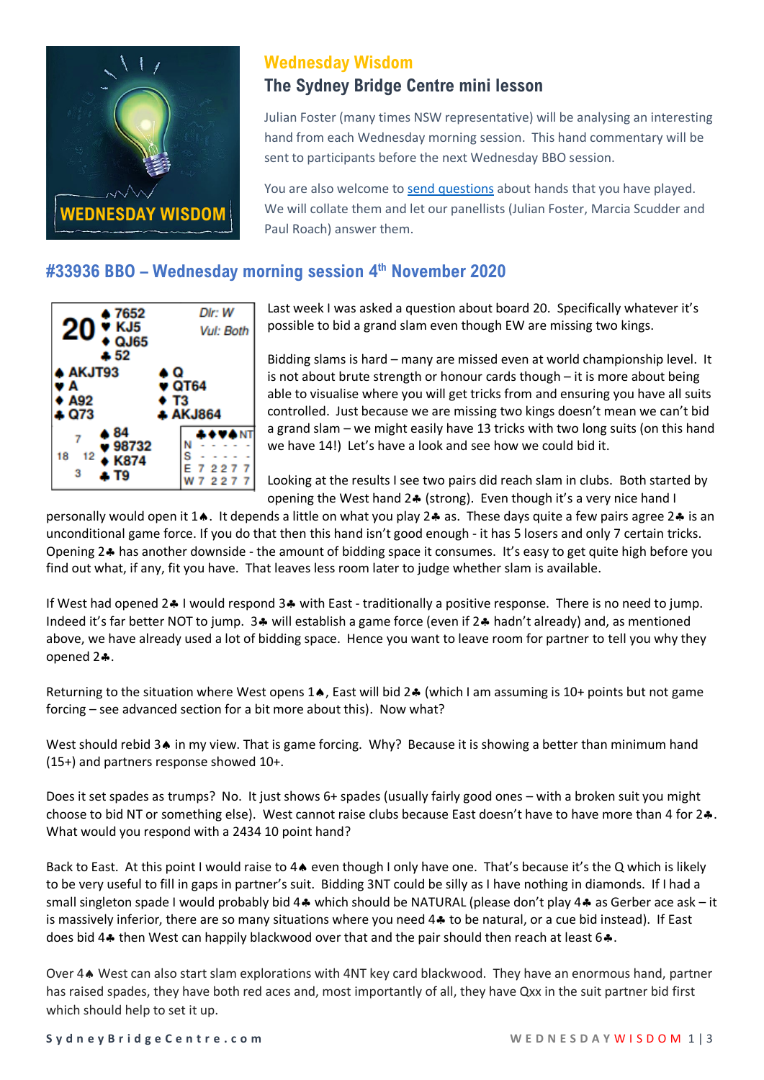

# **Wednesday Wisdom**

## **The Sydney Bridge Centre mini lesson**

Julian Foster (many times NSW representative) will be analysing an interesting hand from each Wednesday morning session. This hand commentary will be sent to participants before the next Wednesday BBO session.

You are also welcome to [send questions](mailto:Office@sydneybridgecentre.com?subject=Wednesday%20Wisdom) about hands that you have played. We will collate them and let our panellists (Julian Foster, Marcia Scudder and Paul Roach) answer them.

# **#33936 BBO – Wednesday morning session 4 th November 2020**



Last week I was asked a question about board 20. Specifically whatever it's possible to bid a grand slam even though EW are missing two kings.

Bidding slams is hard – many are missed even at world championship level. It is not about brute strength or honour cards though – it is more about being able to visualise where you will get tricks from and ensuring you have all suits controlled. Just because we are missing two kings doesn't mean we can't bid a grand slam – we might easily have 13 tricks with two long suits (on this hand we have 14!) Let's have a look and see how we could bid it.

Looking at the results I see two pairs did reach slam in clubs. Both started by opening the West hand 2. (strong). Even though it's a very nice hand I

personally would open it 1.. It depends a little on what you play 2. as. These days quite a few pairs agree 2. is an unconditional game force. If you do that then this hand isn't good enough - it has 5 losers and only 7 certain tricks. Opening 2.4 has another downside - the amount of bidding space it consumes. It's easy to get quite high before you find out what, if any, fit you have. That leaves less room later to judge whether slam is available.

If West had opened 2.4 I would respond 3.4 with East - traditionally a positive response. There is no need to jump. Indeed it's far better NOT to jump. 3.4 will establish a game force (even if 2.4 hadn't already) and, as mentioned above, we have already used a lot of bidding space. Hence you want to leave room for partner to tell you why they opened 2..

Returning to the situation where West opens 1 $\bullet$ , East will bid 2 $\bullet$  (which I am assuming is 10+ points but not game forcing – see advanced section for a bit more about this). Now what?

West should rebid 3. in my view. That is game forcing. Why? Because it is showing a better than minimum hand (15+) and partners response showed 10+.

Does it set spades as trumps? No. It just shows 6+ spades (usually fairly good ones – with a broken suit you might choose to bid NT or something else). West cannot raise clubs because East doesn't have to have more than 4 for 2. What would you respond with a 2434 10 point hand?

Back to East. At this point I would raise to 4 $\bullet$  even though I only have one. That's because it's the Q which is likely to be very useful to fill in gaps in partner's suit. Bidding 3NT could be silly as I have nothing in diamonds. If I had a small singleton spade I would probably bid 4. which should be NATURAL (please don't play 4. as Gerber ace ask – it is massively inferior, there are so many situations where you need  $4\cdot$  to be natural, or a cue bid instead). If East does bid 4 $\clubsuit$  then West can happily blackwood over that and the pair should then reach at least 6 $\clubsuit$ .

Over 4. West can also start slam explorations with 4NT key card blackwood. They have an enormous hand, partner has raised spades, they have both red aces and, most importantly of all, they have Qxx in the suit partner bid first which should help to set it up.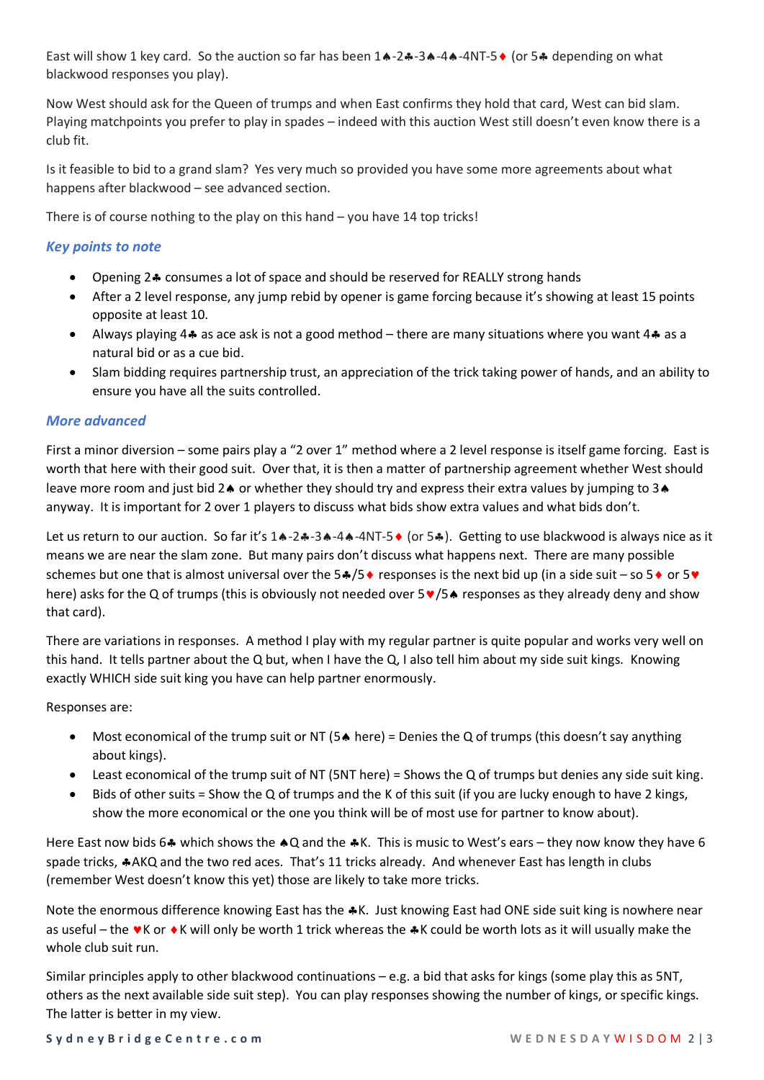East will show 1 key card. So the auction so far has been  $1 \cdot -2 \cdot -3 \cdot -4 \cdot -4N$  or 5  $\cdot \cdot$  depending on what blackwood responses you play).

Now West should ask for the Queen of trumps and when East confirms they hold that card, West can bid slam. Playing matchpoints you prefer to play in spades – indeed with this auction West still doesn't even know there is a club fit.

Is it feasible to bid to a grand slam? Yes very much so provided you have some more agreements about what happens after blackwood – see advanced section.

There is of course nothing to the play on this hand – you have 14 top tricks!

## *Key points to note*

- Opening 2.4 consumes a lot of space and should be reserved for REALLY strong hands
- After a 2 level response, any jump rebid by opener is game forcing because it's showing at least 15 points opposite at least 10.
- Always playing 4. as ace ask is not a good method there are many situations where you want 4. as a natural bid or as a cue bid.
- Slam bidding requires partnership trust, an appreciation of the trick taking power of hands, and an ability to ensure you have all the suits controlled.

### *More advanced*

First a minor diversion – some pairs play a "2 over 1" method where a 2 level response is itself game forcing. East is worth that here with their good suit. Over that, it is then a matter of partnership agreement whether West should leave more room and just bid  $2\spadesuit$  or whether they should try and express their extra values by jumping to  $3\spadesuit$ anyway. It is important for 2 over 1 players to discuss what bids show extra values and what bids don't.

Let us return to our auction. So far it's 14-24-34-44-4NT-5 (or 54). Getting to use blackwood is always nice as it means we are near the slam zone. But many pairs don't discuss what happens next. There are many possible schemes but one that is almost universal over the  $5\cdot/5\cdot$  responses is the next bid up (in a side suit – so  $5\cdot$  or  $5\cdot$ here) asks for the Q of trumps (this is obviously not needed over  $5 \vee 5 \wedge 5$  responses as they already deny and show that card).

There are variations in responses. A method I play with my regular partner is quite popular and works very well on this hand. It tells partner about the Q but, when I have the Q, I also tell him about my side suit kings. Knowing exactly WHICH side suit king you have can help partner enormously.

Responses are:

- Most economical of the trump suit or NT ( $5\triangle$  here) = Denies the Q of trumps (this doesn't say anything about kings).
- Least economical of the trump suit of NT (5NT here) = Shows the Q of trumps but denies any side suit king.
- Bids of other suits = Show the Q of trumps and the K of this suit (if you are lucky enough to have 2 kings, show the more economical or the one you think will be of most use for partner to know about).

Here East now bids 6.4 which shows the  $\triangle Q$  and the  $\triangle K$ . This is music to West's ears – they now know they have 6 spade tricks, \*AKQ and the two red aces. That's 11 tricks already. And whenever East has length in clubs (remember West doesn't know this yet) those are likely to take more tricks.

Note the enormous difference knowing East has the \*K. Just knowing East had ONE side suit king is nowhere near as useful – the  $\blacktriangledown K$  or  $\blacktriangledown K$  will only be worth 1 trick whereas the  $\blacktriangle K$  could be worth lots as it will usually make the whole club suit run.

Similar principles apply to other blackwood continuations – e.g. a bid that asks for kings (some play this as 5NT, others as the next available side suit step). You can play responses showing the number of kings, or specific kings. The latter is better in my view.